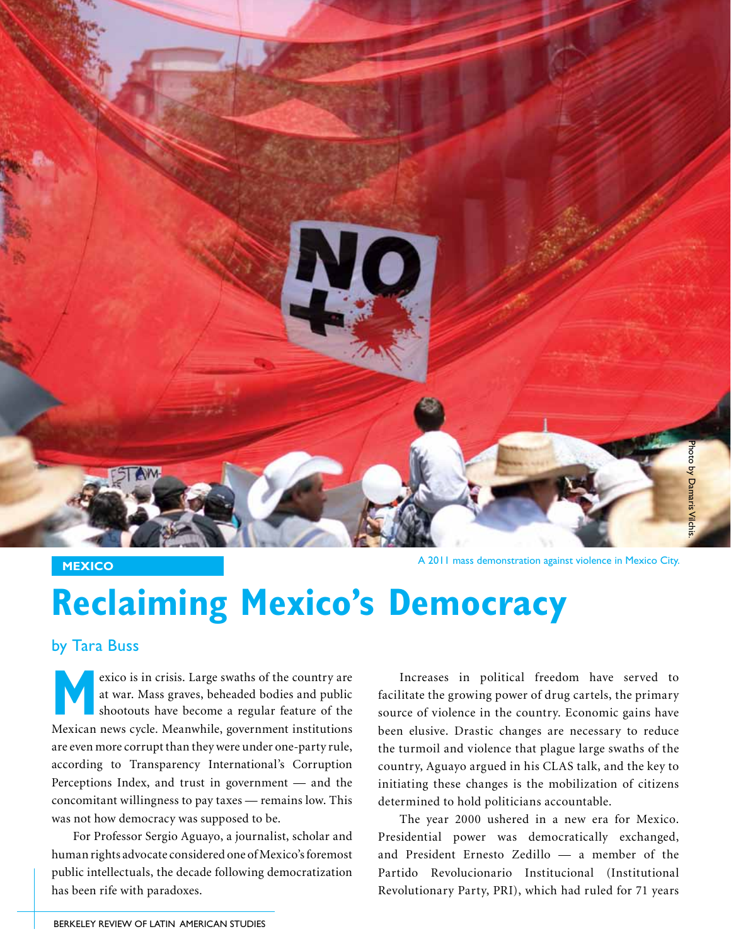

**MEXICO MEXICO A 2011** mass demonstration against violence in Mexico City.

## **Reclaiming Mexico's Democracy**

by Tara Buss

exico is in crisis. Large swaths of the country are at war. Mass graves, beheaded bodies and public shootouts have become a regular feature of the Mexican news cycle. Meanwhile, government institutions are even more corrupt than they were under one-party rule, according to Transparency International's Corruption Perceptions Index, and trust in government — and the concomitant willingness to pay taxes — remains low. This was not how democracy was supposed to be.

For Professor Sergio Aguayo, a journalist, scholar and human rights advocate considered one of Mexico's foremost public intellectuals, the decade following democratization has been rife with paradoxes.

Increases in political freedom have served to facilitate the growing power of drug cartels, the primary source of violence in the country. Economic gains have been elusive. Drastic changes are necessary to reduce the turmoil and violence that plague large swaths of the country, Aguayo argued in his CLAS talk, and the key to initiating these changes is the mobilization of citizens determined to hold politicians accountable.

The year 2000 ushered in a new era for Mexico. Presidential power was democratically exchanged, and President Ernesto Zedillo — a member of the Partido Revolucionario Institucional (Institutional Revolutionary Party, PRI), which had ruled for 71 years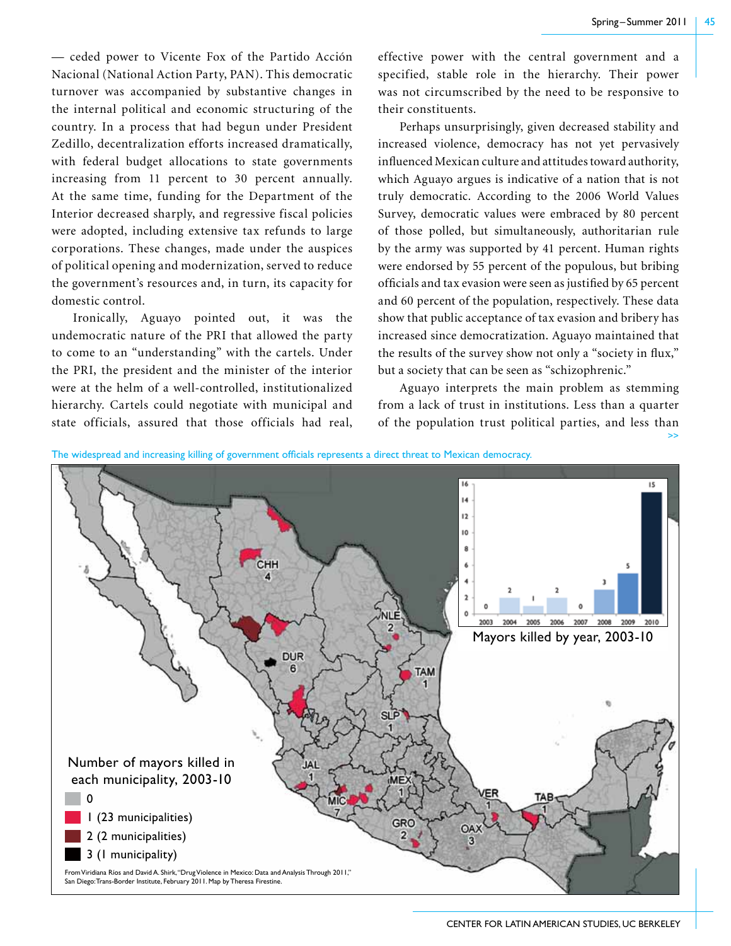>>

— ceded power to Vicente Fox of the Partido Acción Nacional (National Action Party, PAN). This democratic turnover was accompanied by substantive changes in the internal political and economic structuring of the country. In a process that had begun under President Zedillo, decentralization efforts increased dramatically, with federal budget allocations to state governments increasing from 11 percent to 30 percent annually. At the same time, funding for the Department of the Interior decreased sharply, and regressive fiscal policies were adopted, including extensive tax refunds to large corporations. These changes, made under the auspices of political opening and modernization, served to reduce the government's resources and, in turn, its capacity for domestic control.

Ironically, Aguayo pointed out, it was the undemocratic nature of the PRI that allowed the party to come to an "understanding" with the cartels. Under the PRI, the president and the minister of the interior were at the helm of a well-controlled, institutionalized hierarchy. Cartels could negotiate with municipal and state officials, assured that those officials had real,

effective power with the central government and a specified, stable role in the hierarchy. Their power was not circumscribed by the need to be responsive to their constituents.

Perhaps unsurprisingly, given decreased stability and increased violence, democracy has not yet pervasively influenced Mexican culture and attitudes toward authority, which Aguayo argues is indicative of a nation that is not truly democratic. According to the 2006 World Values Survey, democratic values were embraced by 80 percent of those polled, but simultaneously, authoritarian rule by the army was supported by 41 percent. Human rights were endorsed by 55 percent of the populous, but bribing officials and tax evasion were seen as justified by 65 percent and 60 percent of the population, respectively. These data show that public acceptance of tax evasion and bribery has increased since democratization. Aguayo maintained that the results of the survey show not only a "society in flux," but a society that can be seen as "schizophrenic."

Aguayo interprets the main problem as stemming from a lack of trust in institutions. Less than a quarter of the population trust political parties, and less than



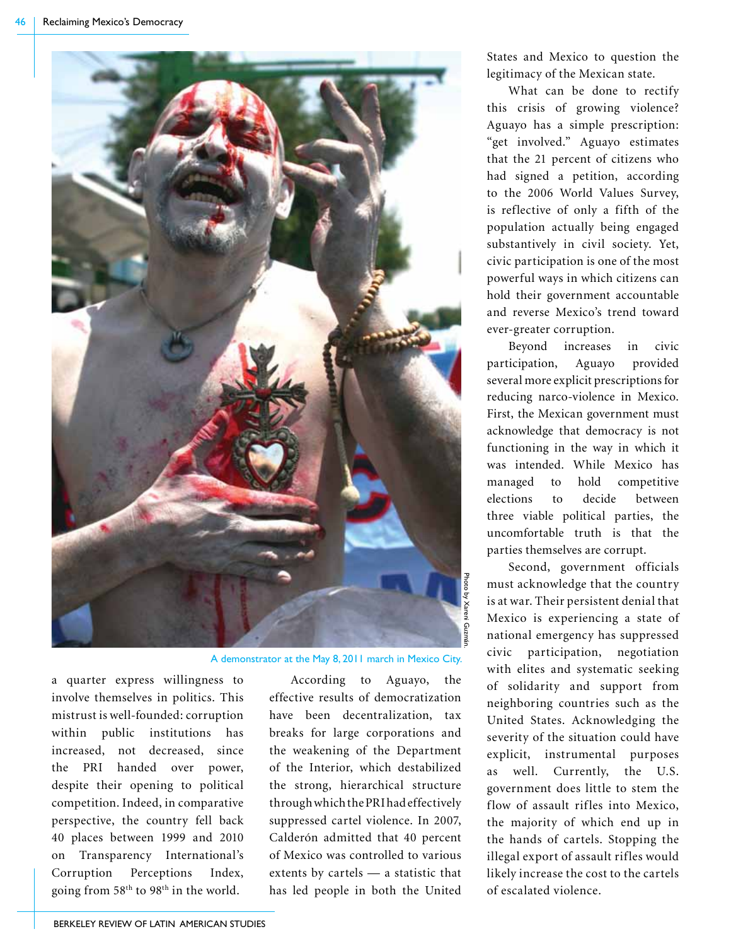

A demonstrator at the May 8, 2011 march in Mexico City.

a quarter express willingness to involve themselves in politics. This mistrust is well-founded: corruption within public institutions has increased, not decreased, since the PRI handed over power, despite their opening to political competition. Indeed, in comparative perspective, the country fell back 40 places between 1999 and 2010 on Transparency International's Corruption Perceptions Index, going from  $58<sup>th</sup>$  to  $98<sup>th</sup>$  in the world.

According to Aguayo, the effective results of democratization have been decentralization, tax breaks for large corporations and the weakening of the Department of the Interior, which destabilized the strong, hierarchical structure through which the PRI had effectively suppressed cartel violence. In 2007, Calderón admitted that 40 percent of Mexico was controlled to various extents by cartels — a statistic that has led people in both the United

States and Mexico to question the legitimacy of the Mexican state.

What can be done to rectify this crisis of growing violence? Aguayo has a simple prescription: "get involved." Aguayo estimates that the 21 percent of citizens who had signed a petition, according to the 2006 World Values Survey, is reflective of only a fifth of the population actually being engaged substantively in civil society. Yet, civic participation is one of the most powerful ways in which citizens can hold their government accountable and reverse Mexico's trend toward ever-greater corruption.

Beyond increases in civic participation, Aguayo provided several more explicit prescriptions for reducing narco-violence in Mexico. First, the Mexican government must acknowledge that democracy is not functioning in the way in which it was intended. While Mexico has managed to hold competitive elections to decide between three viable political parties, the uncomfortable truth is that the parties themselves are corrupt.

Second, government officials must acknowledge that the country is at war. Their persistent denial that Mexico is experiencing a state of national emergency has suppressed civic participation, negotiation with elites and systematic seeking of solidarity and support from neighboring countries such as the United States. Acknowledging the severity of the situation could have explicit, instrumental purposes as well. Currently, the U.S. government does little to stem the flow of assault rifles into Mexico, the majority of which end up in the hands of cartels. Stopping the illegal export of assault rifles would likely increase the cost to the cartels of escalated violence.